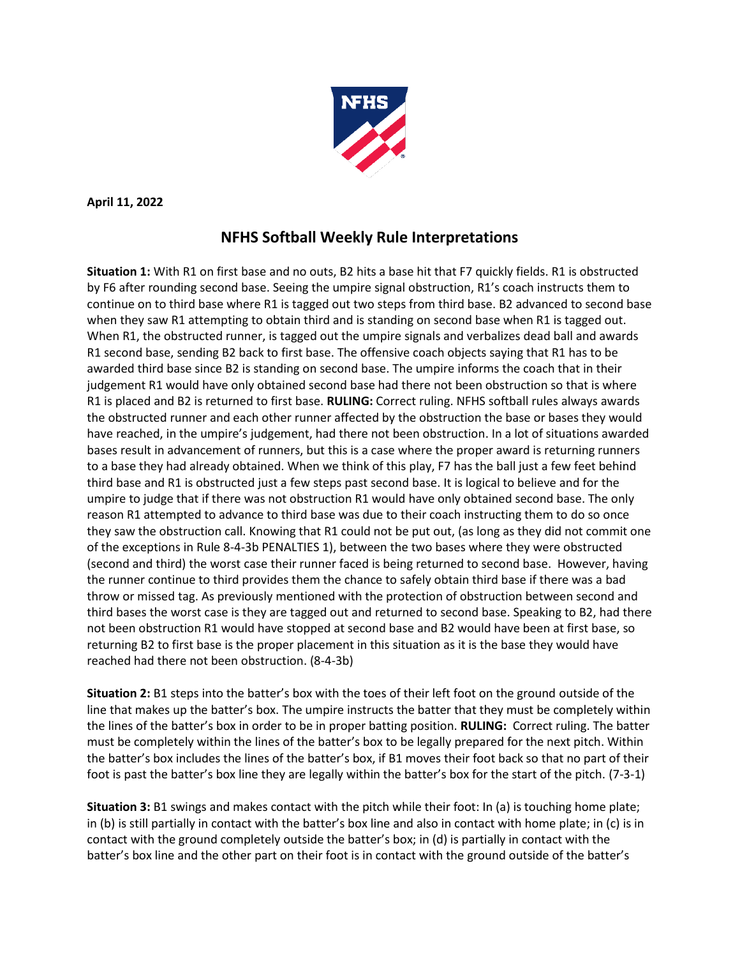

**April 11, 2022**

## **NFHS Softball Weekly Rule Interpretations**

**Situation 1:** With R1 on first base and no outs, B2 hits a base hit that F7 quickly fields. R1 is obstructed by F6 after rounding second base. Seeing the umpire signal obstruction, R1's coach instructs them to continue on to third base where R1 is tagged out two steps from third base. B2 advanced to second base when they saw R1 attempting to obtain third and is standing on second base when R1 is tagged out. When R1, the obstructed runner, is tagged out the umpire signals and verbalizes dead ball and awards R1 second base, sending B2 back to first base. The offensive coach objects saying that R1 has to be awarded third base since B2 is standing on second base. The umpire informs the coach that in their judgement R1 would have only obtained second base had there not been obstruction so that is where R1 is placed and B2 is returned to first base. **RULING:** Correct ruling. NFHS softball rules always awards the obstructed runner and each other runner affected by the obstruction the base or bases they would have reached, in the umpire's judgement, had there not been obstruction. In a lot of situations awarded bases result in advancement of runners, but this is a case where the proper award is returning runners to a base they had already obtained. When we think of this play, F7 has the ball just a few feet behind third base and R1 is obstructed just a few steps past second base. It is logical to believe and for the umpire to judge that if there was not obstruction R1 would have only obtained second base. The only reason R1 attempted to advance to third base was due to their coach instructing them to do so once they saw the obstruction call. Knowing that R1 could not be put out, (as long as they did not commit one of the exceptions in Rule 8-4-3b PENALTIES 1), between the two bases where they were obstructed (second and third) the worst case their runner faced is being returned to second base. However, having the runner continue to third provides them the chance to safely obtain third base if there was a bad throw or missed tag. As previously mentioned with the protection of obstruction between second and third bases the worst case is they are tagged out and returned to second base. Speaking to B2, had there not been obstruction R1 would have stopped at second base and B2 would have been at first base, so returning B2 to first base is the proper placement in this situation as it is the base they would have reached had there not been obstruction. (8-4-3b)

**Situation 2:** B1 steps into the batter's box with the toes of their left foot on the ground outside of the line that makes up the batter's box. The umpire instructs the batter that they must be completely within the lines of the batter's box in order to be in proper batting position. **RULING:** Correct ruling. The batter must be completely within the lines of the batter's box to be legally prepared for the next pitch. Within the batter's box includes the lines of the batter's box, if B1 moves their foot back so that no part of their foot is past the batter's box line they are legally within the batter's box for the start of the pitch. (7-3-1)

**Situation 3:** B1 swings and makes contact with the pitch while their foot: In (a) is touching home plate; in (b) is still partially in contact with the batter's box line and also in contact with home plate; in (c) is in contact with the ground completely outside the batter's box; in (d) is partially in contact with the batter's box line and the other part on their foot is in contact with the ground outside of the batter's